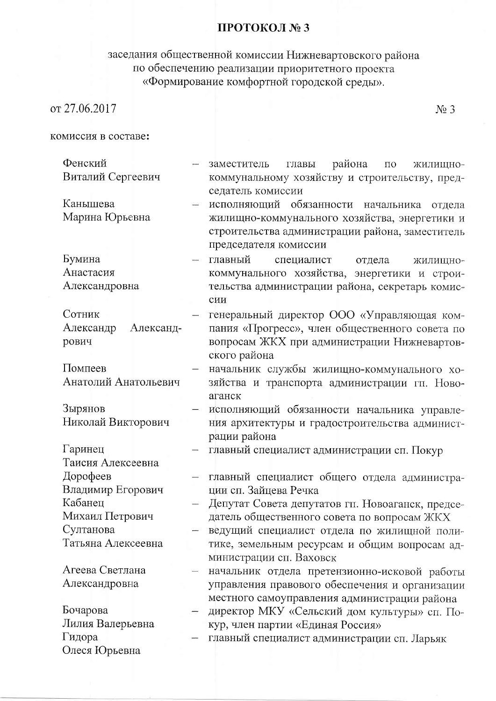## ПРОТОКОЛ № 3

## заседания общественной комиссии Нижневартовского района<br>по обеспечению реализации приоритетного проекта<br>«Формирование комфортной городской среды».

 $N<sub>2</sub>$  3

| комиссия в составе: |
|---------------------|
|---------------------|

| Фенский                |               | района<br>заместитель<br>главы<br>ЖИЛИЩНО-<br>$\Pi$ O |
|------------------------|---------------|-------------------------------------------------------|
| Виталий Сергеевич      |               | коммунальному хозяйству и строительству, пред-        |
|                        |               | седатель комиссии                                     |
| Канышева               |               | исполняющий обязанности начальника<br>отдела          |
| Марина Юрьевна         |               | жилищно-коммунального хозяйства, энергетики и         |
|                        |               | строительства администрации района, заместитель       |
|                        |               | председателя комиссии                                 |
| Бумина                 |               | главный<br>специалист<br>отдела<br>ЖИЛИЩНО-           |
| Анастасия              |               | коммунального хозяйства, энергетики и строи-          |
| Александровна          |               | тельства администрации района, секретарь комис-       |
|                        |               | сии                                                   |
| Сотник                 |               | генеральный директор ООО «Управляющая ком-            |
| Александр<br>Александ- |               | пания «Прогресс», член общественного совета по        |
| рович                  |               | вопросам ЖКХ при администрации Нижневартов-           |
|                        |               | ского района                                          |
| Помпеев                |               | начальник службы жилищно-коммунального хо-            |
| Анатолий Анатольевич   |               | зяйства и транспорта администрации гп. Ново-          |
|                        |               | аганск                                                |
| Зырянов                |               | исполняющий обязанности начальника управле-           |
| Николай Викторович     |               | ния архитектуры и градостроительства админист-        |
|                        |               | рации района                                          |
| Гаринец                |               | главный специалист администрации сп. Покур            |
| Таисия Алексеевна      |               |                                                       |
| Дорофеев               |               | главный специалист общего отдела администра-          |
| Владимир Егорович      |               | ции сп. Зайцева Речка                                 |
| Кабанец                |               | Депутат Совета депутатов гп. Новоаганск, предсе-      |
| Михаил Петрович        |               | датель общественного совета по вопросам ЖКХ           |
| Султанова              |               | ведущий специалист отдела по жилищной поли-           |
| Татьяна Алексеевна     |               | тике, земельным ресурсам и общим вопросам ад-         |
|                        |               | министрации сп. Ваховск                               |
| Агеева Светлана        |               | начальник отдела претензионно-исковой работы          |
| Александровна          |               | управления правового обеспечения и организации        |
|                        |               | местного самоуправления администрации района          |
| Бочарова               | $\rightarrow$ | директор МКУ «Сельский дом культуры» сп. По-          |
| Лилия Валерьевна       |               | кур, член партии «Единая Россия»                      |
| Гидора                 |               | главный специалист администрации сп. Ларьяк           |
| Олеся Юрьевна          |               |                                                       |
|                        |               |                                                       |
|                        |               |                                                       |